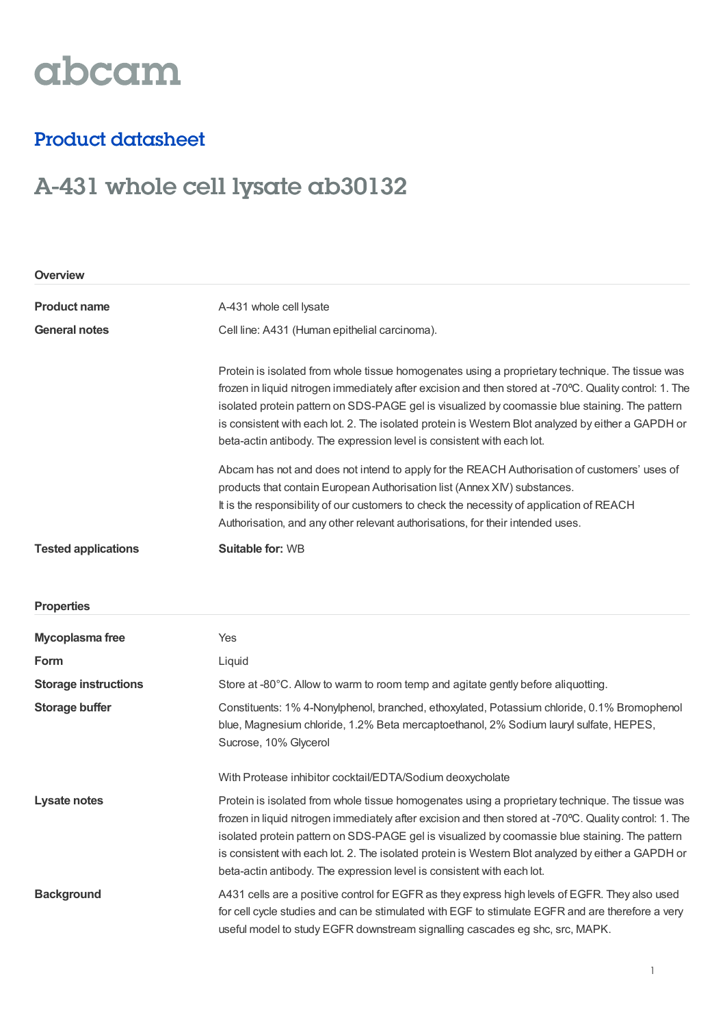# abcam

### Product datasheet

## A-431 whole cell lysate ab30132

| <b>Overview</b>             |                                                                                                                                                                                                                                                                                                                                                                                                                                                                                             |  |
|-----------------------------|---------------------------------------------------------------------------------------------------------------------------------------------------------------------------------------------------------------------------------------------------------------------------------------------------------------------------------------------------------------------------------------------------------------------------------------------------------------------------------------------|--|
| <b>Product name</b>         | A-431 whole cell lysate                                                                                                                                                                                                                                                                                                                                                                                                                                                                     |  |
| <b>General notes</b>        | Cell line: A431 (Human epithelial carcinoma).                                                                                                                                                                                                                                                                                                                                                                                                                                               |  |
|                             | Protein is isolated from whole tissue homogenates using a proprietary technique. The tissue was<br>frozen in liquid nitrogen immediately after excision and then stored at -70°C. Quality control: 1. The<br>isolated protein pattern on SDS-PAGE gel is visualized by coomassie blue staining. The pattern<br>is consistent with each lot. 2. The isolated protein is Western Blot analyzed by either a GAPDH or<br>beta-actin antibody. The expression level is consistent with each lot. |  |
|                             | Abcam has not and does not intend to apply for the REACH Authorisation of customers' uses of<br>products that contain European Authorisation list (Annex XIV) substances.<br>It is the responsibility of our customers to check the necessity of application of REACH<br>Authorisation, and any other relevant authorisations, for their intended uses.                                                                                                                                     |  |
| <b>Tested applications</b>  | <b>Suitable for: WB</b>                                                                                                                                                                                                                                                                                                                                                                                                                                                                     |  |
| <b>Properties</b>           |                                                                                                                                                                                                                                                                                                                                                                                                                                                                                             |  |
| Mycoplasma free             | Yes                                                                                                                                                                                                                                                                                                                                                                                                                                                                                         |  |
| Form                        | Liquid                                                                                                                                                                                                                                                                                                                                                                                                                                                                                      |  |
| <b>Storage instructions</b> | Store at -80°C. Allow to warm to room temp and agitate gently before aliquotting.                                                                                                                                                                                                                                                                                                                                                                                                           |  |
| <b>Storage buffer</b>       | Constituents: 1% 4-Nonylphenol, branched, ethoxylated, Potassium chloride, 0.1% Bromophenol<br>blue, Magnesium chloride, 1.2% Beta mercaptoethanol, 2% Sodium lauryl sulfate, HEPES,<br>Sucrose, 10% Glycerol                                                                                                                                                                                                                                                                               |  |
|                             | With Protease inhibitor cocktail/EDTA/Sodium deoxycholate                                                                                                                                                                                                                                                                                                                                                                                                                                   |  |
| <b>Lysate notes</b>         | Protein is isolated from whole tissue homogenates using a proprietary technique. The tissue was<br>frozen in liquid nitrogen immediately after excision and then stored at -70°C. Quality control: 1. The<br>isolated protein pattern on SDS-PAGE gel is visualized by coomassie blue staining. The pattern<br>is consistent with each lot. 2. The isolated protein is Western Blot analyzed by either a GAPDH or<br>beta-actin antibody. The expression level is consistent with each lot. |  |
| <b>Background</b>           | A431 cells are a positive control for EGFR as they express high levels of EGFR. They also used<br>for cell cycle studies and can be stimulated with EGF to stimulate EGFR and are therefore a very<br>useful model to study EGFR downstream signalling cascades eg shc, src, MAPK.                                                                                                                                                                                                          |  |